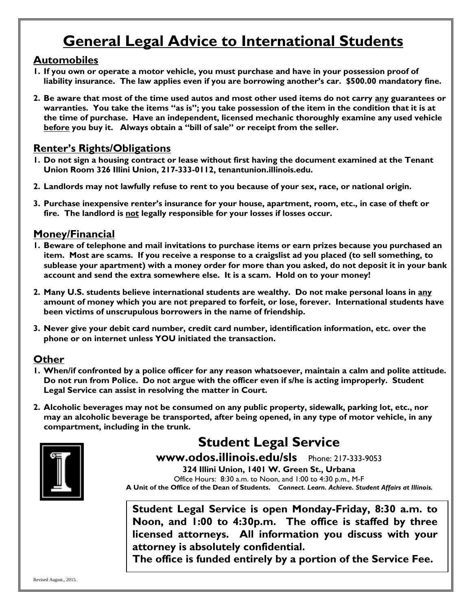### **General Legal Advice to International Students**

#### **Automobiles**

- **1. If you own or operate a motor vehicle, you must purchase and have in your possession proof of liability insurance. The law applies even if you are borrowing another's car. \$500.00 mandatory fine.**
- **2. Be aware that most of the time used autos and most other used items do not carry any guarantees or warranties. You take the items "as is"; you take possession of the item in the condition that it is at the time of purchase. Have an independent, licensed mechanic thoroughly examine any used vehicle before you buy it. Always obtain a "bill of sale" or receipt from the seller.**

### **Renter's Rights/Obligations**

- **1. Do not sign a housing contract or lease without first having the document examined at the Tenant Union Room 326 Illini Union, 217-333-0112, tenantunion.illinois.edu.**
- **2. Landlords may not lawfully refuse to rent to you because of your sex, race, or national origin.**
- **3. Purchase inexpensive renter's insurance for your house, apartment, room, etc., in case of theft or fire. The landlord is not legally responsible for your losses if losses occur.**

### **Money/Financial**

- **1. Beware of telephone and mail invitations to purchase items or earn prizes because you purchased an item. Most are scams. If you receive a response to a craigslist ad you placed (to sell something, to sublease your apartment) with a money order for more than you asked, do not deposit it in your bank account and send the extra somewhere else. It is a scam. Hold on to your money!**
- **2. Many U.S. students believe international students are wealthy. Do not make personal loans in any amount of money which you are not prepared to forfeit, or lose, forever. International students have been victims of unscrupulous borrowers in the name of friendship.**
- **3. Never give your debit card number, credit card number, identification information, etc. over the phone or on internet unless YOU initiated the transaction.**

### **Other**

- **1. When/if confronted by a police officer for any reason whatsoever, maintain a calm and polite attitude. Do not run from Police. Do not argue with the officer even if s/he is acting improperly. Student Legal Service can assist in resolving the matter in Court.**
- **2. Alcoholic beverages may not be consumed on any public property, sidewalk, parking lot, etc., nor may an alcoholic beverage be transported, after being opened, in any type of motor vehicle, in any compartment, including in the trunk.**



### **Student Legal Service**

**www.odos.illinois.edu/sls** Phone: 217-333-9053 **324 Illini Union, 1401 W. Green St., Urbana** Office Hours: 8:30 a.m. to Noon, and 1:00 to 4:30 p.m., M-F **A Unit of the Office of the Dean of Students.** *Connect. Learn. Achieve. Student Affairs at Illinois.*

**Student Legal Service is open Monday-Friday, 8:30 a.m. to Noon, and 1:00 to 4:30p.m. The office is staffed by three licensed attorneys. All information you discuss with your attorney is absolutely confidential.** 

**The office is funded entirely by a portion of the Service Fee.**